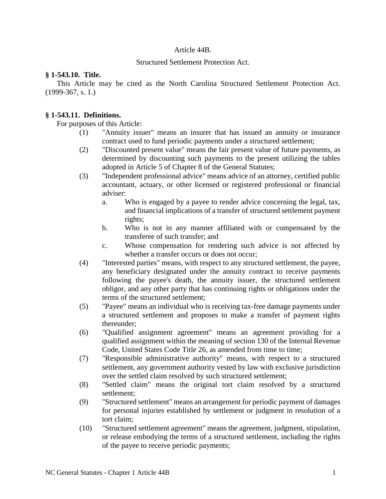### Article 44B.

### Structured Settlement Protection Act.

#### **§ 1-543.10. Title.**

This Article may be cited as the North Carolina Structured Settlement Protection Act.  $(1999-367, s. 1.)$ 

## **§ 1-543.11. Definitions.**

For purposes of this Article:

- (1) "Annuity issuer" means an insurer that has issued an annuity or insurance contract used to fund periodic payments under a structured settlement;
- (2) "Discounted present value" means the fair present value of future payments, as determined by discounting such payments to the present utilizing the tables adopted in Article 5 of Chapter 8 of the General Statutes;
- (3) "Independent professional advice" means advice of an attorney, certified public accountant, actuary, or other licensed or registered professional or financial adviser:
	- a. Who is engaged by a payee to render advice concerning the legal, tax, and financial implications of a transfer of structured settlement payment rights;
	- b. Who is not in any manner affiliated with or compensated by the transferee of such transfer; and
	- c. Whose compensation for rendering such advice is not affected by whether a transfer occurs or does not occur;
- (4) "Interested parties" means, with respect to any structured settlement, the payee, any beneficiary designated under the annuity contract to receive payments following the payee's death, the annuity issuer, the structured settlement obligor, and any other party that has continuing rights or obligations under the terms of the structured settlement;
- (5) "Payee" means an individual who is receiving tax-free damage payments under a structured settlement and proposes to make a transfer of payment rights thereunder;
- (6) "Qualified assignment agreement" means an agreement providing for a qualified assignment within the meaning of section 130 of the Internal Revenue Code, United States Code Title 26, as amended from time to time;
- (7) "Responsible administrative authority" means, with respect to a structured settlement, any government authority vested by law with exclusive jurisdiction over the settled claim resolved by such structured settlement;
- (8) "Settled claim" means the original tort claim resolved by a structured settlement;
- (9) "Structured settlement" means an arrangement for periodic payment of damages for personal injuries established by settlement or judgment in resolution of a tort claim;
- (10) "Structured settlement agreement" means the agreement, judgment, stipulation, or release embodying the terms of a structured settlement, including the rights of the payee to receive periodic payments;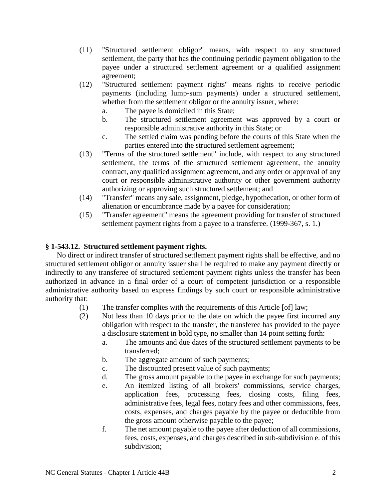- (11) "Structured settlement obligor" means, with respect to any structured settlement, the party that has the continuing periodic payment obligation to the payee under a structured settlement agreement or a qualified assignment agreement;
- (12) "Structured settlement payment rights" means rights to receive periodic payments (including lump-sum payments) under a structured settlement, whether from the settlement obligor or the annuity issuer, where:
	- a. The payee is domiciled in this State;
	- b. The structured settlement agreement was approved by a court or responsible administrative authority in this State; or
	- c. The settled claim was pending before the courts of this State when the parties entered into the structured settlement agreement;
- (13) "Terms of the structured settlement" include, with respect to any structured settlement, the terms of the structured settlement agreement, the annuity contract, any qualified assignment agreement, and any order or approval of any court or responsible administrative authority or other government authority authorizing or approving such structured settlement; and
- (14) "Transfer" means any sale, assignment, pledge, hypothecation, or other form of alienation or encumbrance made by a payee for consideration;
- (15) "Transfer agreement" means the agreement providing for transfer of structured settlement payment rights from a payee to a transferee. (1999-367, s. 1.)

# **§ 1-543.12. Structured settlement payment rights.**

No direct or indirect transfer of structured settlement payment rights shall be effective, and no structured settlement obligor or annuity issuer shall be required to make any payment directly or indirectly to any transferee of structured settlement payment rights unless the transfer has been authorized in advance in a final order of a court of competent jurisdiction or a responsible administrative authority based on express findings by such court or responsible administrative authority that:

- (1) The transfer complies with the requirements of this Article [of] law;
- (2) Not less than 10 days prior to the date on which the payee first incurred any obligation with respect to the transfer, the transferee has provided to the payee a disclosure statement in bold type, no smaller than 14 point setting forth:
	- a. The amounts and due dates of the structured settlement payments to be transferred;
	- b. The aggregate amount of such payments;
	- c. The discounted present value of such payments;
	- d. The gross amount payable to the payee in exchange for such payments;
	- e. An itemized listing of all brokers' commissions, service charges, application fees, processing fees, closing costs, filing fees, administrative fees, legal fees, notary fees and other commissions, fees, costs, expenses, and charges payable by the payee or deductible from the gross amount otherwise payable to the payee;
	- f. The net amount payable to the payee after deduction of all commissions, fees, costs, expenses, and charges described in sub-subdivision e. of this subdivision;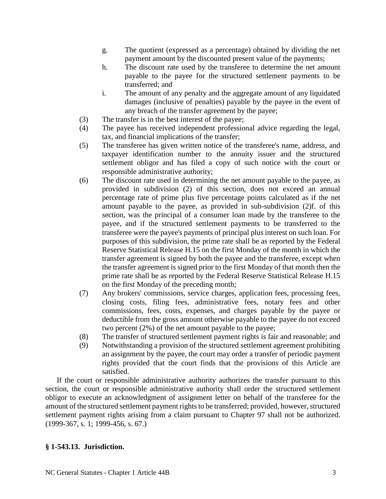- g. The quotient (expressed as a percentage) obtained by dividing the net payment amount by the discounted present value of the payments;
- h. The discount rate used by the transferee to determine the net amount payable to the payee for the structured settlement payments to be transferred; and
- i. The amount of any penalty and the aggregate amount of any liquidated damages (inclusive of penalties) payable by the payee in the event of any breach of the transfer agreement by the payee;
- (3) The transfer is in the best interest of the payee;
- (4) The payee has received independent professional advice regarding the legal, tax, and financial implications of the transfer;
- (5) The transferee has given written notice of the transferee's name, address, and taxpayer identification number to the annuity issuer and the structured settlement obligor and has filed a copy of such notice with the court or responsible administrative authority;
- (6) The discount rate used in determining the net amount payable to the payee, as provided in subdivision (2) of this section, does not exceed an annual percentage rate of prime plus five percentage points calculated as if the net amount payable to the payee, as provided in sub-subdivision (2)f. of this section, was the principal of a consumer loan made by the transferee to the payee, and if the structured settlement payments to be transferred to the transferee were the payee's payments of principal plus interest on such loan. For purposes of this subdivision, the prime rate shall be as reported by the Federal Reserve Statistical Release H.15 on the first Monday of the month in which the transfer agreement is signed by both the payee and the transferee, except when the transfer agreement is signed prior to the first Monday of that month then the prime rate shall be as reported by the Federal Reserve Statistical Release H.15 on the first Monday of the preceding month;
- (7) Any brokers' commissions, service charges, application fees, processing fees, closing costs, filing fees, administrative fees, notary fees and other commissions, fees, costs, expenses, and charges payable by the payee or deductible from the gross amount otherwise payable to the payee do not exceed two percent (2%) of the net amount payable to the payee;
- (8) The transfer of structured settlement payment rights is fair and reasonable; and
- (9) Notwithstanding a provision of the structured settlement agreement prohibiting an assignment by the payee, the court may order a transfer of periodic payment rights provided that the court finds that the provisions of this Article are satisfied.

If the court or responsible administrative authority authorizes the transfer pursuant to this section, the court or responsible administrative authority shall order the structured settlement obligor to execute an acknowledgment of assignment letter on behalf of the transferee for the amount of the structured settlement payment rights to be transferred; provided, however, structured settlement payment rights arising from a claim pursuant to Chapter 97 shall not be authorized. (1999-367, s. 1; 1999-456, s. 67.)

# **§ 1-543.13. Jurisdiction.**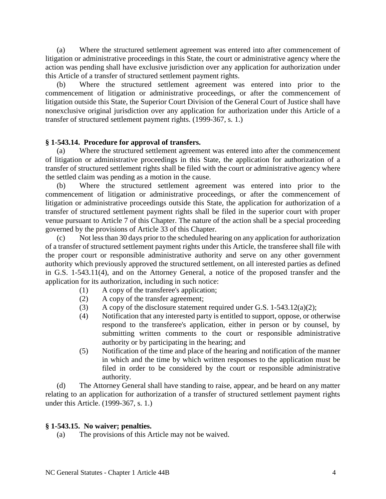(a) Where the structured settlement agreement was entered into after commencement of litigation or administrative proceedings in this State, the court or administrative agency where the action was pending shall have exclusive jurisdiction over any application for authorization under this Article of a transfer of structured settlement payment rights.

(b) Where the structured settlement agreement was entered into prior to the commencement of litigation or administrative proceedings, or after the commencement of litigation outside this State, the Superior Court Division of the General Court of Justice shall have nonexclusive original jurisdiction over any application for authorization under this Article of a transfer of structured settlement payment rights. (1999-367, s. 1.)

### **§ 1-543.14. Procedure for approval of transfers.**

(a) Where the structured settlement agreement was entered into after the commencement of litigation or administrative proceedings in this State, the application for authorization of a transfer of structured settlement rights shall be filed with the court or administrative agency where the settled claim was pending as a motion in the cause.

(b) Where the structured settlement agreement was entered into prior to the commencement of litigation or administrative proceedings, or after the commencement of litigation or administrative proceedings outside this State, the application for authorization of a transfer of structured settlement payment rights shall be filed in the superior court with proper venue pursuant to Article 7 of this Chapter. The nature of the action shall be a special proceeding governed by the provisions of Article 33 of this Chapter.

(c) Not less than 30 days prior to the scheduled hearing on any application for authorization of a transfer of structured settlement payment rights under this Article, the transferee shall file with the proper court or responsible administrative authority and serve on any other government authority which previously approved the structured settlement, on all interested parties as defined in G.S. 1-543.11(4), and on the Attorney General, a notice of the proposed transfer and the application for its authorization, including in such notice:

- (1) A copy of the transferee's application;
- (2) A copy of the transfer agreement;
- (3) A copy of the disclosure statement required under G.S.  $1-543.12(a)(2)$ ;
- (4) Notification that any interested party is entitled to support, oppose, or otherwise respond to the transferee's application, either in person or by counsel, by submitting written comments to the court or responsible administrative authority or by participating in the hearing; and
- (5) Notification of the time and place of the hearing and notification of the manner in which and the time by which written responses to the application must be filed in order to be considered by the court or responsible administrative authority.

(d) The Attorney General shall have standing to raise, appear, and be heard on any matter relating to an application for authorization of a transfer of structured settlement payment rights under this Article. (1999-367, s. 1.)

#### **§ 1-543.15. No waiver; penalties.**

(a) The provisions of this Article may not be waived.